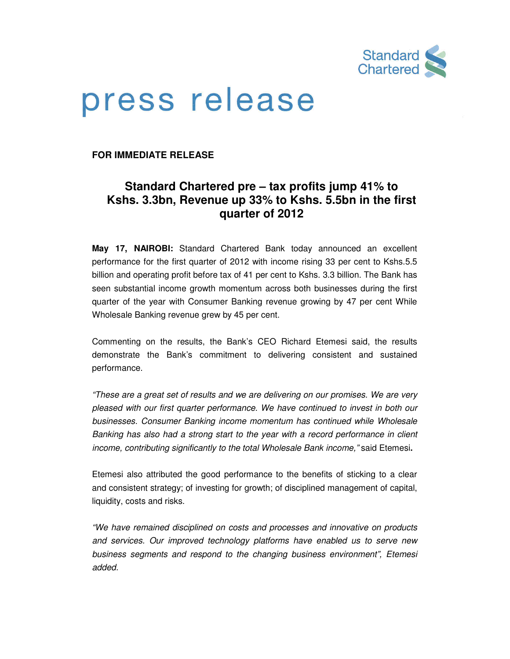

## press release

**FOR IMMEDIATE RELEASE**

## **Standard Chartered pre – tax profits jump 41% to Kshs. 3.3bn, Revenue up 33% to Kshs. 5.5bn in the first quarter of 2012**

**May 17, NAIROBI:** Standard Chartered Bank today announced an excellent performance for the first quarter of 2012 with income rising 33 per cent to Kshs.5.5 billion and operating profit before tax of 41 per cent to Kshs. 3.3 billion. The Bank has seen substantial income growth momentum across both businesses during the first quarter of the year with Consumer Banking revenue growing by 47 per cent While Wholesale Banking revenue grew by 45 per cent.

Commenting on the results, the Bank's CEO Richard Etemesi said, the results demonstrate the Bank's commitment to delivering consistent and sustained performance.

"These are a great set of results and we are delivering on our promises. We are very pleased with our first quarter performance. We have continued to invest in both our businesses. Consumer Banking income momentum has continued while Wholesale Banking has also had a strong start to the year with a record performance in client income, contributing significantly to the total Wholesale Bank income," said Etemesi**.** 

Etemesi also attributed the good performance to the benefits of sticking to a clear and consistent strategy; of investing for growth; of disciplined management of capital, liquidity, costs and risks.

"We have remained disciplined on costs and processes and innovative on products and services. Our improved technology platforms have enabled us to serve new business segments and respond to the changing business environment", Etemesi added.